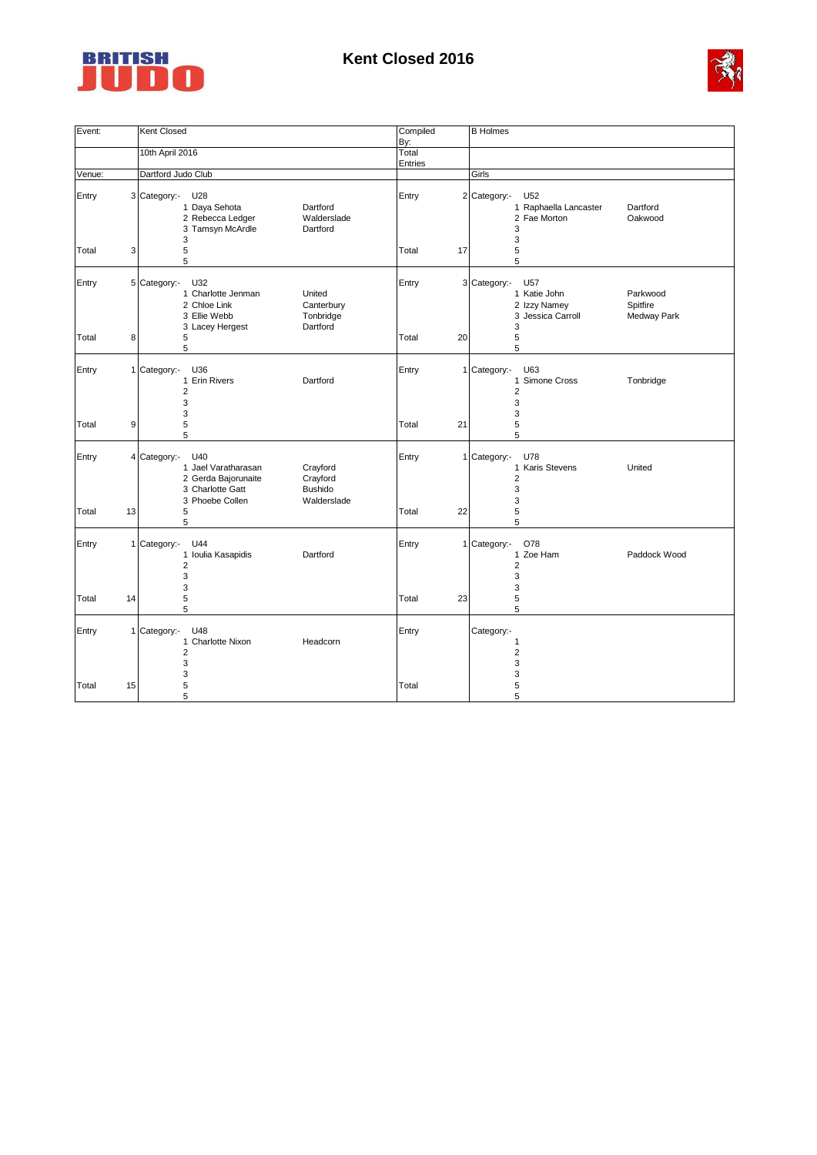

## **Kent Closed 2016**



| Event: |                | Kent Closed                                                                                                                                                     | Compiled       | <b>B</b> Holmes                                                                                                      |
|--------|----------------|-----------------------------------------------------------------------------------------------------------------------------------------------------------------|----------------|----------------------------------------------------------------------------------------------------------------------|
|        |                |                                                                                                                                                                 | By:            |                                                                                                                      |
|        |                | 10th April 2016                                                                                                                                                 | Total          |                                                                                                                      |
|        |                |                                                                                                                                                                 | <b>Entries</b> |                                                                                                                      |
| Venue: |                | Dartford Judo Club                                                                                                                                              |                | Girls                                                                                                                |
| Entry  |                | 3 Category:-<br>U28<br>1 Daya Sehota<br>Dartford<br>2 Rebecca Ledger<br>Walderslade<br>3 Tamsyn McArdle<br>Dartford<br>3                                        | Entry          | 2 Category:-<br>U52<br>1 Raphaella Lancaster<br>Dartford<br>2 Fae Morton<br>Oakwood<br>3<br>3                        |
| Total  | 3              | 5<br>5                                                                                                                                                          | Total<br>17    | 5<br>5                                                                                                               |
| Entry  |                | 5 Category:-<br>U32<br>1 Charlotte Jenman<br>United<br>2 Chloe Link<br>Canterbury<br>3 Ellie Webb<br>Tonbridge<br>Dartford<br>3 Lacey Hergest                   | Entry          | 3 Category:-<br>U57<br>1 Katie John<br>Parkwood<br>2 Izzy Namey<br>Spitfire<br>3 Jessica Carroll<br>Medway Park<br>3 |
| Total  | 8              | 5<br>5                                                                                                                                                          | 20<br>Total    | 5<br>5                                                                                                               |
| Entry  |                | 1 Category:-<br>U36<br>1 Erin Rivers<br>Dartford<br>$\overline{2}$<br>3                                                                                         | Entry          | 1 Category:-<br>U63<br>1 Simone Cross<br>Tonbridge<br>$\overline{2}$<br>3                                            |
| Total  | 9              | 3<br>5<br>5                                                                                                                                                     | Total<br>21    | 3<br>5<br>5                                                                                                          |
| Entry  | $\overline{4}$ | Category:-<br>U40<br>1 Jael Varatharasan<br>Crayford<br>2 Gerda Bajorunaite<br>Crayford<br>3 Charlotte Gatt<br><b>Bushido</b><br>3 Phoebe Collen<br>Walderslade | Entry          | 1 Category:-<br>U78<br>1 Karis Stevens<br>United<br>$\overline{2}$<br>3<br>3                                         |
| Total  | 13             | 5<br>5                                                                                                                                                          | 22<br>Total    | 5<br>5                                                                                                               |
| Entry  |                | 1 Category:-<br>U44<br>1 Ioulia Kasapidis<br>Dartford<br>$\overline{2}$<br>3<br>3                                                                               | Entry          | 1 Category:-<br>O78<br>1 Zoe Ham<br>Paddock Wood<br>$\overline{2}$<br>3<br>3                                         |
| Total  | 14             | 5<br>5                                                                                                                                                          | Total<br>23    | 5<br>5                                                                                                               |
| Entry  |                | 1 Category:-<br>U48<br>1 Charlotte Nixon<br>Headcorn<br>$\overline{2}$<br>3                                                                                     | Entry          | Category:-<br>$\mathbf{1}$<br>$\overline{2}$<br>3                                                                    |
| Total  | 15             | 3<br>5<br>5                                                                                                                                                     | Total          | 3<br>5<br>5                                                                                                          |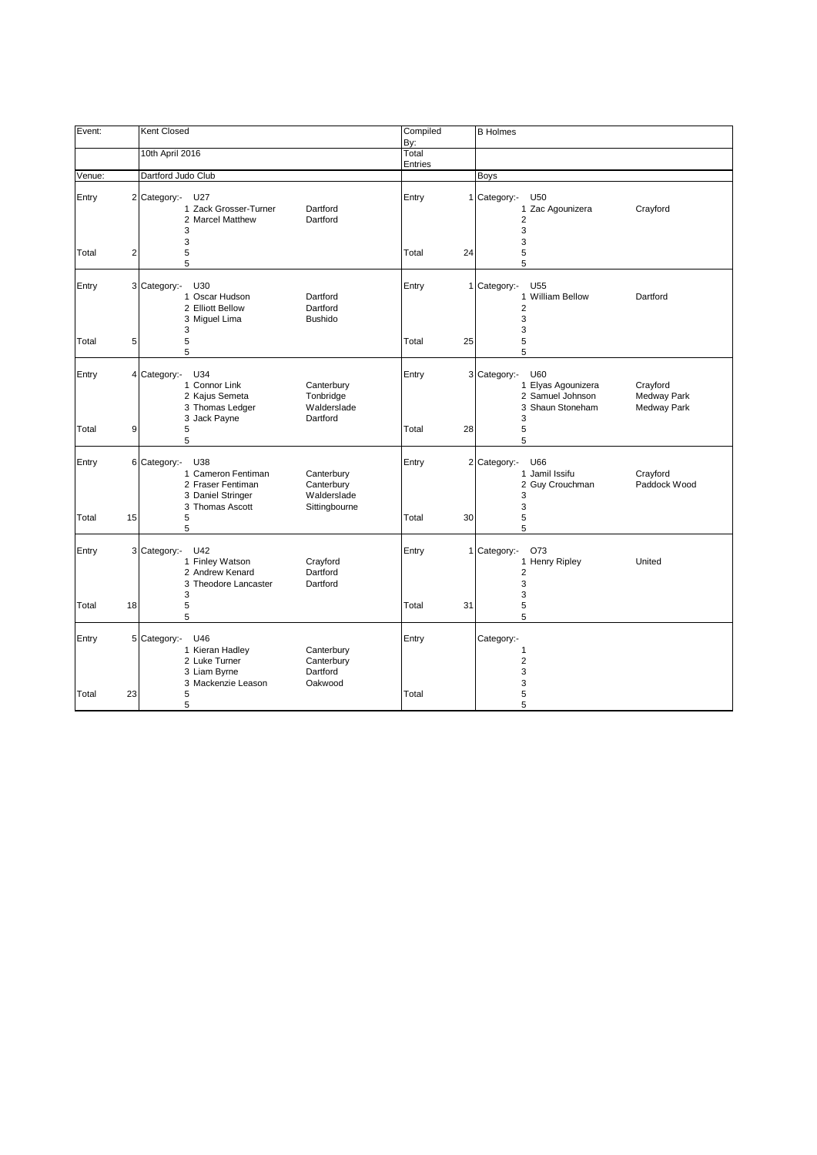| Event:         |    | Kent Closed                                                                                                                                                             | Compiled<br>By:  |    | <b>B</b> Holmes                                                                                                                                |
|----------------|----|-------------------------------------------------------------------------------------------------------------------------------------------------------------------------|------------------|----|------------------------------------------------------------------------------------------------------------------------------------------------|
|                |    | 10th April 2016                                                                                                                                                         | Total<br>Entries |    |                                                                                                                                                |
| Venue:         |    | Dartford Judo Club                                                                                                                                                      |                  |    | Boys                                                                                                                                           |
| Entry          |    | 2 Category:-<br>U27<br>1 Zack Grosser-Turner<br>Dartford<br>2 Marcel Matthew<br>Dartford<br>3<br>3                                                                      | Entry            |    | 1 Category:-<br>U50<br>1 Zac Agounizera<br>Crayford<br>$\overline{2}$<br>3<br>3                                                                |
| Total          | 2  | 5<br>5                                                                                                                                                                  | Total            | 24 | 5<br>5                                                                                                                                         |
| Entry          |    | 3 Category:-<br>U30<br>1 Oscar Hudson<br>Dartford<br>2 Elliott Bellow<br>Dartford<br>3 Miguel Lima<br><b>Bushido</b><br>3                                               | Entry            |    | 1 Category:-<br>U <sub>55</sub><br>1 William Bellow<br>Dartford<br>2<br>3<br>3                                                                 |
| Total          | 5  | 5<br>5                                                                                                                                                                  | Total            | 25 | 5<br>5                                                                                                                                         |
| Entry          |    | 4 Category:-<br>U34<br>1 Connor Link<br>Canterbury<br>2 Kajus Semeta<br>Tonbridge<br>3 Thomas Ledger<br>Walderslade<br>3 Jack Payne<br>Dartford                         | Entry            |    | 3 Category:-<br>U60<br>1 Elyas Agounizera<br>Crayford<br>2 Samuel Johnson<br><b>Medway Park</b><br>3 Shaun Stoneham<br><b>Medway Park</b><br>3 |
| Total          | 9  | 5<br>5                                                                                                                                                                  | Total            | 28 | 5<br>5                                                                                                                                         |
| Entry<br>Total | 15 | U38<br>6 Category:-<br>1 Cameron Fentiman<br>Canterbury<br>2 Fraser Fentiman<br>Canterbury<br>3 Daniel Stringer<br>Walderslade<br>3 Thomas Ascott<br>Sittingbourne<br>5 | Entry<br>Total   | 30 | U66<br>2 Category:-<br>1 Jamil Issifu<br>Crayford<br>Paddock Wood<br>2 Guy Crouchman<br>3<br>3<br>5                                            |
|                |    | 5                                                                                                                                                                       |                  |    | 5                                                                                                                                              |
| Entry          |    | U42<br>3 Category:-<br>1 Finley Watson<br>Crayford<br>Dartford<br>2 Andrew Kenard<br>3 Theodore Lancaster<br>Dartford<br>3                                              | Entry            |    | 1 Category:-<br>O73<br>1 Henry Ripley<br>United<br>$\overline{\mathbf{c}}$<br>3<br>3                                                           |
| Total          | 18 | 5<br>5                                                                                                                                                                  | Total            | 31 | 5<br>5                                                                                                                                         |
| Entry          |    | 5 Category:-<br>U46<br>1 Kieran Hadley<br>Canterbury<br>2 Luke Turner<br>Canterbury<br>3 Liam Byrne<br>Dartford<br>3 Mackenzie Leason<br>Oakwood                        | Entry            |    | Category:-<br>1<br>$\overline{2}$<br>3<br>3                                                                                                    |
| Total          | 23 | 5<br>5                                                                                                                                                                  | Total            |    | 5<br>5                                                                                                                                         |